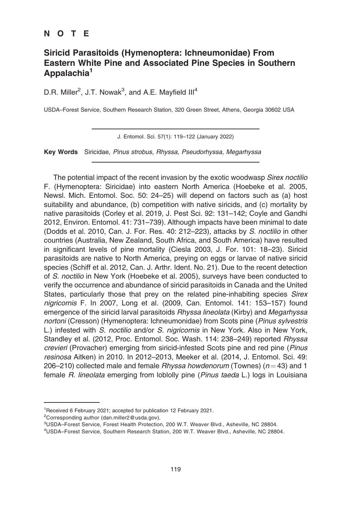## NOTE

## Siricid Parasitoids (Hymenoptera: Ichneumonidae) From Eastern White Pine and Associated Pine Species in Southern Appalachia<sup>1</sup>

D.R. Miller<sup>2</sup>, J.T. Nowak<sup>3</sup>, and A.E. Mayfield III<sup>4</sup>

USDA–Forest Service, Southern Research Station, 320 Green Street, Athens, Georgia 30602 USA

J. Entomol. Sci. 57(1): 119–122 (January 2022)

Key Words Siricidae, Pinus strobus, Rhyssa, Pseudorhyssa, Megarhyssa

The potential impact of the recent invasion by the exotic woodwasp Sirex noctilio F. (Hymenoptera: Siricidae) into eastern North America (Hoebeke et al. 2005, Newsl. Mich. Entomol. Soc. 50: 24–25) will depend on factors such as (a) host suitability and abundance, (b) competition with native siricids, and (c) mortality by native parasitoids (Corley et al. 2019, J. Pest Sci. 92: 131–142; Coyle and Gandhi 2012, Environ. Entomol. 41: 731–739). Although impacts have been minimal to date (Dodds et al. 2010, Can. J. For. Res. 40: 212–223), attacks by S. noctilio in other countries (Australia, New Zealand, South Africa, and South America) have resulted in significant levels of pine mortality (Ciesla 2003, J. For. 101: 18–23). Siricid parasitoids are native to North America, preying on eggs or larvae of native siricid species (Schiff et al. 2012, Can. J. Arthr. Ident. No. 21). Due to the recent detection of S. noctilio in New York (Hoebeke et al. 2005), surveys have been conducted to verify the occurrence and abundance of siricid parasitoids in Canada and the United States, particularly those that prey on the related pine-inhabiting species Sirex nigricornis F. In 2007, Long et al. (2009, Can. Entomol. 141: 153–157) found emergence of the siricid larval parasitoids Rhyssa lineolata (Kirby) and Megarhyssa nortoni (Cresson) (Hymenoptera: Ichneumonidae) from Scots pine (Pinus sylvestris L.) infested with S. noctilio and/or S. nigricornis in New York. Also in New York, Standley et al. (2012, Proc. Entomol. Soc. Wash. 114: 238–249) reported Rhyssa crevieri (Provacher) emerging from siricid-infested Scots pine and red pine (Pinus resinosa Aitken) in 2010. In 2012–2013, Meeker et al. (2014, J. Entomol. Sci. 49: 206–210) collected male and female  $Rhysa$  howdenorum (Townes) ( $n = 43$ ) and 1 female R. lineolata emerging from loblolly pine (Pinus taeda L.) logs in Louisiana

<sup>1</sup> Received 6 February 2021; accepted for publication 12 February 2021.

<sup>&</sup>lt;sup>2</sup>Corresponding author (dan.miller2@usda.gov).

<sup>3</sup> USDA–Forest Service, Forest Health Protection, 200 W.T. Weaver Blvd., Asheville, NC 28804.

<sup>4</sup> USDA–Forest Service, Southern Research Station, 200 W.T. Weaver Blvd., Asheville, NC 28804.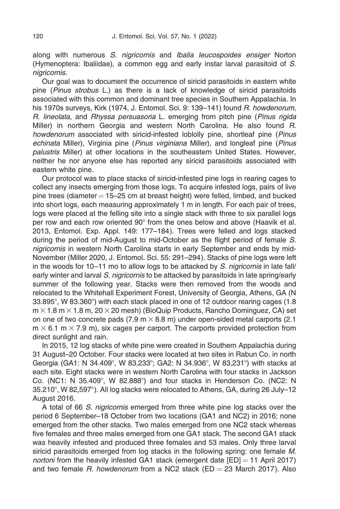along with numerous S. nigricornis and Ibalia leucospoides ensiger Norton (Hymenoptera: Ibaliidae), a common egg and early instar larval parasitoid of S. nigricornis.

Our goal was to document the occurrence of siricid parasitoids in eastern white pine (Pinus strobus L.) as there is a lack of knowledge of siricid parasitoids associated with this common and dominant tree species in Southern Appalachia. In his 1970s surveys, Kirk (1974, J. Entomol. Sci. 9: 139-141) found R. howdenorum, R. lineolata, and Rhyssa persuasoria L. emerging from pitch pine (Pinus rigida Miller) in northern Georgia and western North Carolina. He also found R. howdenorum associated with siricid-infested loblolly pine, shortleaf pine (Pinus echinata Miller), Virginia pine (Pinus virginiana Miller), and longleaf pine (Pinus palustris Miller) at other locations in the southeastern United States. However, neither he nor anyone else has reported any siricid parasitoids associated with eastern white pine.

Our protocol was to place stacks of siricid-infested pine logs in rearing cages to collect any insects emerging from those logs. To acquire infested logs, pairs of live pine trees (diameter  $= 15-25$  cm at breast height) were felled, limbed, and bucked into short logs, each measuring approximately 1 m in length. For each pair of trees, logs were placed at the felling site into a single stack with three to six parallel logs per row and each row oriented  $90^{\circ}$  from the ones below and above (Haavik et al. 2013, Entomol. Exp. Appl. 149: 177–184). Trees were felled and logs stacked during the period of mid-August to mid-October as the flight period of female S. nigricornis in western North Carolina starts in early September and ends by mid-November (Miller 2020, J. Entomol. Sci. 55: 291–294). Stacks of pine logs were left in the woods for  $10-11$  mo to allow logs to be attacked by S. nigricornis in late fall/ early winter and larval S. nigricornis to be attacked by parasitoids in late spring/early summer of the following year. Stacks were then removed from the woods and relocated to the Whitehall Experiment Forest, University of Georgia, Athens, GA (N  $33.895^{\circ}$ , W 83.360 $^{\circ}$ ) with each stack placed in one of 12 outdoor rearing cages (1.8  $m \times 1.8$  m  $\times$  1.8 m, 20  $\times$  20 mesh) (BioQuip Products, Rancho Dominguez, CA) set on one of two concrete pads (7.9 m  $\times$  8.8 m) under open-sided metal carports (2.1  $m \times 6.1$  m  $\times$  7.9 m), six cages per carport. The carports provided protection from direct sunlight and rain.

In 2015, 12 log stacks of white pine were created in Southern Appalachia during 31 August–20 October. Four stacks were located at two sites in Rabun Co. in north Georgia (GA1: N 34.409°, W 83.233°; GA2: N 34.936°, W 83,231°) with stacks at each site. Eight stacks were in western North Carolina with four stacks in Jackson Co. (NC1: N 35.409°, W 82.888°) and four stacks in Henderson Co. (NC2: N  $35.210^{\circ}$ , W 82,597 $^{\circ}$ ). All log stacks were relocated to Athens, GA, during 26 July–12 August 2016.

A total of 66 S. nigricornis emerged from three white pine log stacks over the period 6 September–18 October from two locations (GA1 and NC2) in 2016; none emerged from the other stacks. Two males emerged from one NC2 stack whereas five females and three males emerged from one GA1 stack. The second GA1 stack was heavily infested and produced three females and 53 males. Only three larval siricid parasitoids emerged from log stacks in the following spring: one female M. nortoni from the heavily infested GA1 stack (emergent date  $[ED] = 11$  April 2017) and two female  $R$ . howdenorum from a NC2 stack (ED = 23 March 2017). Also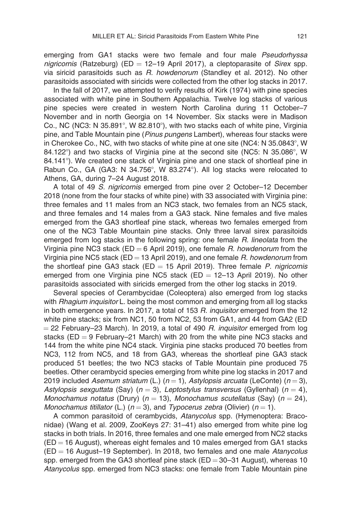emerging from GA1 stacks were two female and four male Pseudorhyssa nigricornis (Ratzeburg) (ED = 12–19 April 2017), a cleptoparasite of Sirex spp. via siricid parasitoids such as R. howdenorum (Standley et al. 2012). No other parasitoids associated with siricids were collected from the other log stacks in 2017.

In the fall of 2017, we attempted to verify results of Kirk (1974) with pine species associated with white pine in Southern Appalachia. Twelve log stacks of various pine species were created in western North Carolina during 11 October–7 November and in north Georgia on 14 November. Six stacks were in Madison Co., NC (NC3: N 35.891°, W 82.810°), with two stacks each of white pine, Virginia pine, and Table Mountain pine (Pinus pungens Lambert), whereas four stacks were in Cherokee Co., NC, with two stacks of white pine at one site (NC4: N  $35.0843^{\circ}$ , W  $84.122^{\circ}$ ) and two stacks of Virginia pine at the second site (NC5: N 35.086 $^{\circ}$ , W 84.141°). We created one stack of Virginia pine and one stack of shortleaf pine in Rabun Co., GA (GA3: N  $34.756^{\circ}$ , W  $83.274^{\circ}$ ). All log stacks were relocated to Athens, GA, during 7–24 August 2018.

A total of 49 S. nigricornis emerged from pine over 2 October–12 December 2018 (none from the four stacks of white pine) with 33 associated with Virginia pine: three females and 11 males from an NC3 stack, two females from an NC5 stack, and three females and 14 males from a GA3 stack. Nine females and five males emerged from the GA3 shortleaf pine stack, whereas two females emerged from one of the NC3 Table Mountain pine stacks. Only three larval sirex parasitoids emerged from log stacks in the following spring: one female R. lineolata from the Virginia pine NC3 stack (ED = 6 April 2019), one female  $R$ . howdenorum from the Virginia pine NC5 stack ( $ED = 13$  April 2019), and one female  $R$ . howdenorum from the shortleaf pine GA3 stack (ED  $=$  15 April 2019). Three female P. nigricornis emerged from one Virginia pine NC5 stack (ED  $=$  12–13 April 2019). No other parasitoids associated with siricids emerged from the other log stacks in 2019.

Several species of Cerambycidae (Coleoptera) also emerged from log stacks with *Rhagium inquisitor* L. being the most common and emerging from all log stacks in both emergence years. In 2017, a total of 153 R. *inquisitor* emerged from the 12 white pine stacks; six from NC1, 50 from NC2, 53 from GA1, and 44 from GA2 (ED  $=$  22 February–23 March). In 2019, a total of 490 R. inquisitor emerged from log stacks ( $ED = 9$  February–21 March) with 20 from the white pine NC3 stacks and 144 from the white pine NC4 stack. Virginia pine stacks produced 70 beetles from NC3, 112 from NC5, and 18 from GA3, whereas the shortleaf pine GA3 stack produced 51 beetles; the two NC3 stacks of Table Mountain pine produced 75 beetles. Other cerambycid species emerging from white pine log stacks in 2017 and 2019 included Asemum striatum (L.) ( $n = 1$ ), Astylopsis arcuata (LeConte) ( $n = 3$ ), Astylopsis sexguttata (Say) ( $n = 3$ ), Leptostylus transversus (Gyllenhal) ( $n = 4$ ), Monochamus notatus (Drury) ( $n = 13$ ), Monochamus scutellatus (Say) ( $n = 24$ ), Monochamus titillator (L.) ( $n = 3$ ), and Typocerus zebra (Olivier) ( $n = 1$ ).

A common parasitoid of cerambycids, Atanycolus spp. (Hymenoptera: Braconidae) (Wang et al. 2009, ZooKeys 27: 31–41) also emerged from white pine log stacks in both trials. In 2016, three females and one male emerged from NC2 stacks  $(ED = 16$  August), whereas eight females and 10 males emerged from GA1 stacks  $(ED = 16$  August–19 September). In 2018, two females and one male Atanycolus spp. emerged from the GA3 shortleaf pine stack ( $ED = 30-31$  August), whereas 10 Atanycolus spp. emerged from NC3 stacks: one female from Table Mountain pine